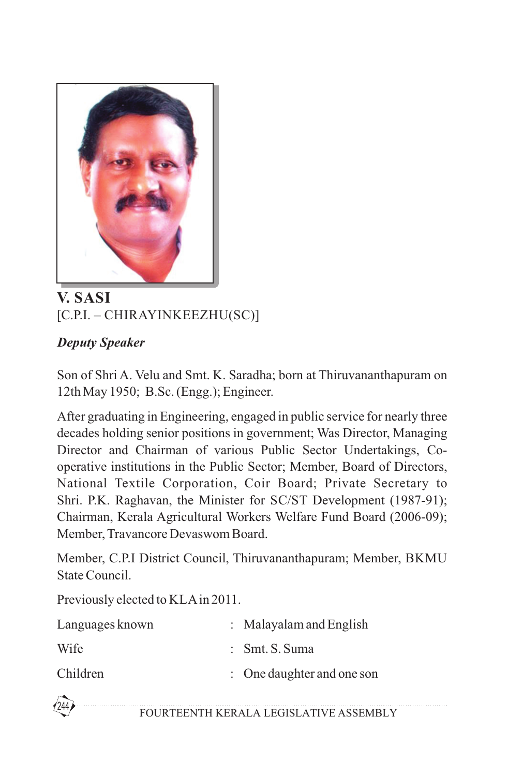

## **V. SASI** [C.P.I. – CHIRAYINKEEZHU(SC)]

## *Deputy Speaker*

Son of Shri A. Velu and Smt. K. Saradha; born at Thiruvananthapuram on 12th May 1950; B.Sc. (Engg.); Engineer.

After graduating in Engineering, engaged in public service for nearly three decades holding senior positions in government; Was Director, Managing Director and Chairman of various Public Sector Undertakings, Cooperative institutions in the Public Sector; Member, Board of Directors, National Textile Corporation, Coir Board; Private Secretary to Shri. P.K. Raghavan, the Minister for SC/ST Development (1987-91); Chairman, Kerala Agricultural Workers Welfare Fund Board (2006-09); Member, Travancore Devaswom Board.

Member, C.P.I District Council, Thiruvananthapuram; Member, BKMU State Council.

Previously elected to KLAin 2011.

| Languages known | $:$ Malayalam and English  |
|-----------------|----------------------------|
| Wife            | $:$ Smt. S. Suma           |
| Children        | : One daughter and one son |